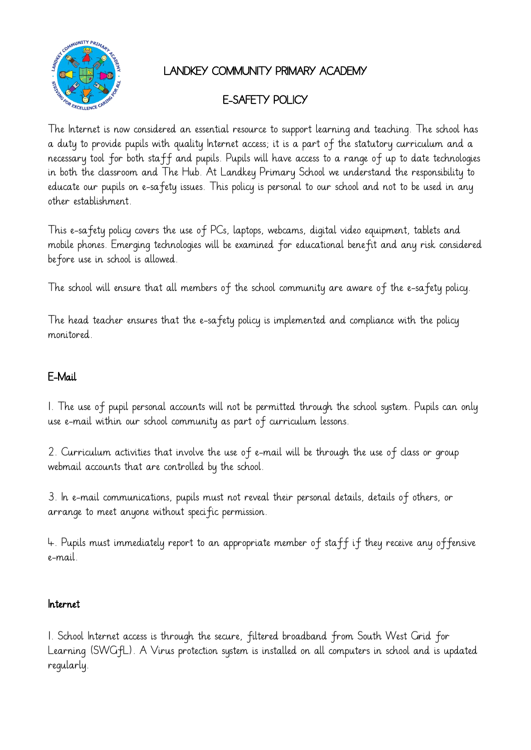

## LANDKEY COMMUNITY PRIMARY ACADEMY

# E-SAFETY POLICY

The Internet is now considered an essential resource to support learning and teaching. The school has a duty to provide pupils with quality Internet access; it is a part of the statutory curriculum and a necessary tool for both staff and pupils. Pupils will have access to a range of up to date technologies in both the classroom and The Hub. At Landkey Primary School we understand the responsibility to educate our pupils on e-safety issues. This policy is personal to our school and not to be used in any other establishment.

This e-safety policy covers the use of PCs, laptops, webcams, digital video equipment, tablets and mobile phones. Emerging technologies will be examined for educational benefit and any risk considered before use in school is allowed.

The school will ensure that all members of the school community are aware of the e-safety policy.

The head teacher ensures that the e-safety policy is implemented and compliance with the policy monitored.

## E-Mail

1. The use of pupil personal accounts will not be permitted through the school system. Pupils can only use e-mail within our school community as part of curriculum lessons.

2. Curriculum activities that involve the use of e-mail will be through the use of class or group webmail accounts that are controlled by the school.

3. In e-mail communications, pupils must not reveal their personal details, details of others, or arrange to meet anyone without specific permission.

4. Pupils must immediately report to an appropriate member of staff if they receive any offensive e-mail.

### Internet

1. School Internet access is through the secure, filtered broadband from South West Grid for Learning (SWGfL). A Virus protection system is installed on all computers in school and is updated regularly.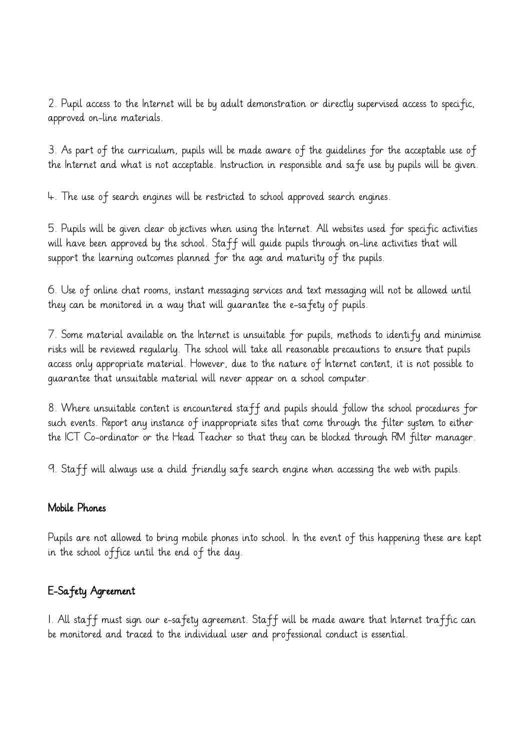2. Pupil access to the Internet will be by adult demonstration or directly supervised access to specific, approved on-line materials.

3. As part of the curriculum, pupils will be made aware of the guidelines for the acceptable use of the Internet and what is not acceptable. Instruction in responsible and safe use by pupils will be given.

4. The use of search engines will be restricted to school approved search engines.

5. Pupils will be given clear objectives when using the Internet. All websites used for specific activities will have been approved by the school. Staff will guide pupils through on-line activities that will support the learning outcomes planned for the age and maturity of the pupils.

6. Use of online chat rooms, instant messaging services and text messaging will not be allowed until they can be monitored in a way that will guarantee the e-safety of pupils.

7. Some material available on the Internet is unsuitable for pupils, methods to identify and minimise risks will be reviewed regularly. The school will take all reasonable precautions to ensure that pupils access only appropriate material. However, due to the nature of Internet content, it is not possible to guarantee that unsuitable material will never appear on a school computer.

8. Where unsuitable content is encountered staff and pupils should follow the school procedures for such events. Report any instance of inappropriate sites that come through the filter system to either the ICT Co-ordinator or the Head Teacher so that they can be blocked through RM filter manager.

9. Staff will always use a child friendly safe search engine when accessing the web with pupils.

#### Mobile Phones

Pupils are not allowed to bring mobile phones into school. In the event of this happening these are kept in the school office until the end of the day.

## E-Safety Agreement

1. All staff must sign our e-safety agreement. Staff will be made aware that Internet traffic can be monitored and traced to the individual user and professional conduct is essential.